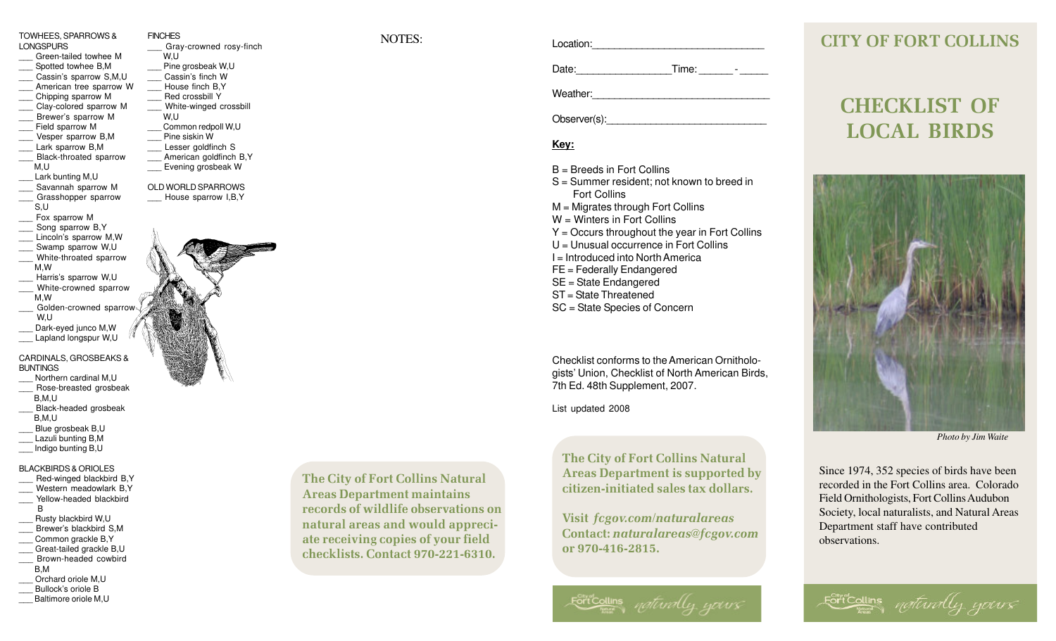TOWHEES, SPARROWS & **LONGSPURS** Green-tailed towhee M Spotted towhee B.M Cassin's sparrow S,M,U American tree sparrow W \_\_\_ Chipping sparrow M Clay-colored sparrow M \_\_\_ Brewer's sparrow M Field sparrow M \_\_\_ Vesper sparrow B,M Lark sparrow B.M Black-throated sparrow M,U Lark bunting M.U Savannah sparrow M Grasshopper sparrow S,U Fox sparrow M Song sparrow B,Y Lincoln's sparrow M,W Swamp sparrow W,U White-throated sparrow M,W Harris's sparrow W,U White-crowned sparrow M,W Golden-crowned sparrow W,U Dark-eyed junco M, W Lapland longspur W,U CARDINALS, GROSBEAKS & BUNTINGS Northern cardinal M.U Rose-breasted grosbeak B,M,U Black-headed grosbeak B,M,U Blue grosbeak B,U Lazuli bunting B,M \_\_\_ Indigo bunting B,U BLACKBIRDS & ORIOLES Red-winged blackbird B,Y Western meadowlark B.Y  $\overline{\phantom{a}}$ Yellow-headed blackbird B Rusty blackbird W,U Brewer's blackbird S.M. Common grackle B.Y Great-tailed grackle B.U \_\_\_ Brown-headed cowbird B,M \_\_\_ Orchard oriole M,U Bullock's oriole B

Baltimore oriole M.U

FINCHES NOTES: Gray-crowned rosy-finch W,U Pine grosbeak W,U Cassin's finch W House finch B.Y Red crossbill Y White-winged crossbill W,U Common redpoll W,U Pine siskin W Lesser goldfinch S American goldfinch B, Y Evening grosbeak W OLD WORLD SPARROWS House sparrow I,B,Y

Location:

Date: Time: Time:

Weather:

Observer(s):

## **Key:**

 $B =$  Breeds in Fort Collins

S = Summer resident; not known to breed in Fort Collins M = Migrates through Fort Collins W = Winters in Fort Collins Y = Occurs throughout the year in Fort Collins U = Unusual occurrence in Fort Collins I = Introduced into North America FE = Federally Endangered SE = State Endangered ST = State Threatened SC = State Species of Concern

Checklist conforms to the American Ornithologists' Union, Checklist of North American Birds, 7th Ed. 48th Supplement, 2007.

List updated 2008

The City of Fort Collins Natural Areas Department is supported by citizen-initiated sales tax dollars.

Visit fcgov.com/naturalareas Contact: naturalareas@fcgov.com or 970-416-2815.



## CITY OF FORT COLLINS

## CHECKLIST OF LOCAL BIRDS



*Photo by Jim Waite*

Since 1974, 352 species of birds have been recorded in the Fort Collins area. Colorado Field Ornithologists, Fort Collins Audubon Society, local naturalists, and Natural Areas Department staff have contributed observations.

Fort Collins naturally yours

The City of Fort Collins Natural Areas Department maintains records of wildlife observations on natural areas and would appreciate receiving copies of your field checklists. Contact 970-221-6310.